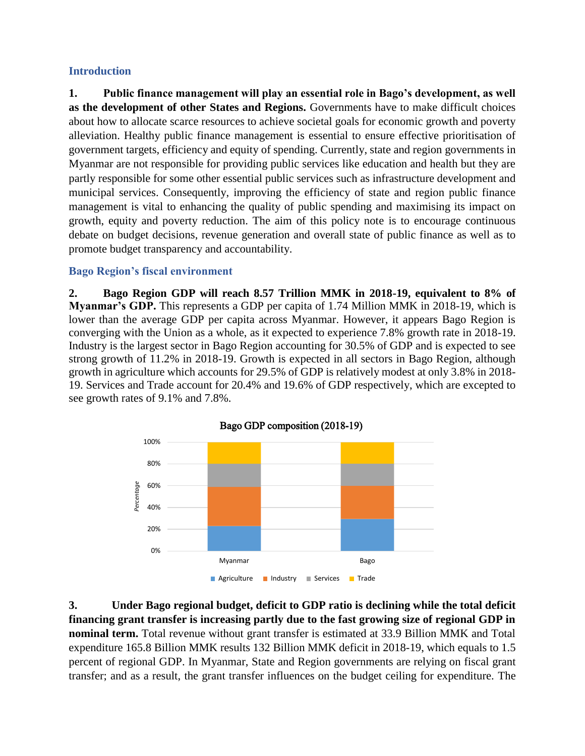# **Introduction**

**1. Public finance management will play an essential role in Bago's development, as well as the development of other States and Regions.** Governments have to make difficult choices about how to allocate scarce resources to achieve societal goals for economic growth and poverty alleviation. Healthy public finance management is essential to ensure effective prioritisation of government targets, efficiency and equity of spending. Currently, state and region governments in Myanmar are not responsible for providing public services like education and health but they are partly responsible for some other essential public services such as infrastructure development and municipal services. Consequently, improving the efficiency of state and region public finance management is vital to enhancing the quality of public spending and maximising its impact on growth, equity and poverty reduction. The aim of this policy note is to encourage continuous debate on budget decisions, revenue generation and overall state of public finance as well as to promote budget transparency and accountability.

# **Bago Region's fiscal environment**

**2. Bago Region GDP will reach 8.57 Trillion MMK in 2018-19, equivalent to 8% of Myanmar's GDP.** This represents a GDP per capita of 1.74 Million MMK in 2018-19, which is lower than the average GDP per capita across Myanmar. However, it appears Bago Region is converging with the Union as a whole, as it expected to experience 7.8% growth rate in 2018-19. Industry is the largest sector in Bago Region accounting for 30.5% of GDP and is expected to see strong growth of 11.2% in 2018-19. Growth is expected in all sectors in Bago Region, although growth in agriculture which accounts for 29.5% of GDP is relatively modest at only 3.8% in 2018- 19. Services and Trade account for 20.4% and 19.6% of GDP respectively, which are excepted to see growth rates of 9.1% and 7.8%.



**3. Under Bago regional budget, deficit to GDP ratio is declining while the total deficit financing grant transfer is increasing partly due to the fast growing size of regional GDP in nominal term.** Total revenue without grant transfer is estimated at 33.9 Billion MMK and Total expenditure 165.8 Billion MMK results 132 Billion MMK deficit in 2018-19, which equals to 1.5 percent of regional GDP. In Myanmar, State and Region governments are relying on fiscal grant transfer; and as a result, the grant transfer influences on the budget ceiling for expenditure. The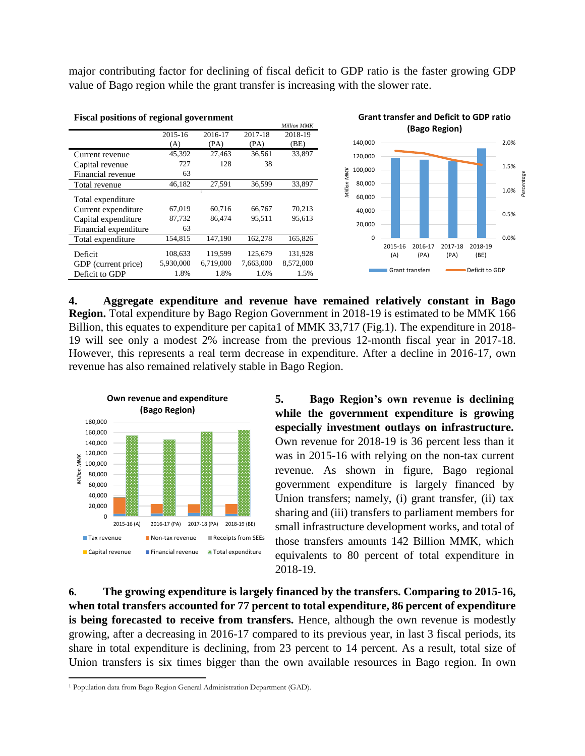major contributing factor for declining of fiscal deficit to GDP ratio is the faster growing GDP value of Bago region while the grant transfer is increasing with the slower rate.



**4. Aggregate expenditure and revenue have remained relatively constant in Bago Region.** Total expenditure by Bago Region Government in 2018-19 is estimated to be MMK 166 Billion, this equates to expenditure per capita1 of MMK 33,717 (Fig.1). The expenditure in 2018- 19 will see only a modest 2% increase from the previous 12-month fiscal year in 2017-18. However, this represents a real term decrease in expenditure. After a decline in 2016-17, own revenue has also remained relatively stable in Bago Region.



**5. Bago Region's own revenue is declining while the government expenditure is growing especially investment outlays on infrastructure.** Own revenue for 2018-19 is 36 percent less than it was in 2015-16 with relying on the non-tax current revenue. As shown in figure, Bago regional government expenditure is largely financed by Union transfers; namely, (i) grant transfer, (ii) tax sharing and (iii) transfers to parliament members for small infrastructure development works, and total of those transfers amounts 142 Billion MMK, which equivalents to 80 percent of total expenditure in 2018-19.

**6. The growing expenditure is largely financed by the transfers. Comparing to 2015-16, when total transfers accounted for 77 percent to total expenditure, 86 percent of expenditure is being forecasted to receive from transfers.** Hence, although the own revenue is modestly growing, after a decreasing in 2016-17 compared to its previous year, in last 3 fiscal periods, its share in total expenditure is declining, from 23 percent to 14 percent. As a result, total size of Union transfers is six times bigger than the own available resources in Bago region. In own

 $\overline{\phantom{a}}$ 

<sup>&</sup>lt;sup>1</sup> Population data from Bago Region General Administration Department (GAD).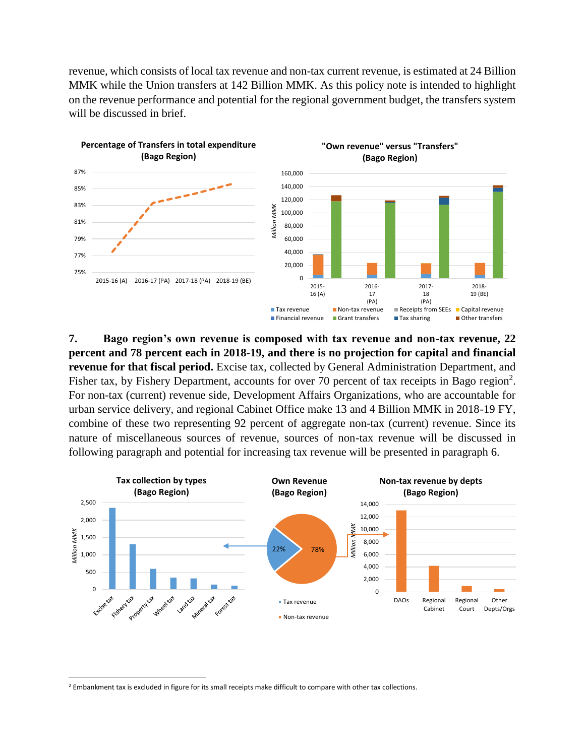revenue, which consists of local tax revenue and non-tax current revenue, is estimated at 24 Billion MMK while the Union transfers at 142 Billion MMK. As this policy note is intended to highlight on the revenue performance and potential for the regional government budget, the transfers system will be discussed in brief.



**7. Bago region's own revenue is composed with tax revenue and non-tax revenue, 22 percent and 78 percent each in 2018-19, and there is no projection for capital and financial revenue for that fiscal period.** Excise tax, collected by General Administration Department, and Fisher tax, by Fishery Department, accounts for over 70 percent of tax receipts in Bago region<sup>2</sup>. For non-tax (current) revenue side, Development Affairs Organizations, who are accountable for urban service delivery, and regional Cabinet Office make 13 and 4 Billion MMK in 2018-19 FY, combine of these two representing 92 percent of aggregate non-tax (current) revenue. Since its nature of miscellaneous sources of revenue, sources of non-tax revenue will be discussed in following paragraph and potential for increasing tax revenue will be presented in paragraph 6.



 $\overline{a}$ 

<sup>&</sup>lt;sup>2</sup> Embankment tax is excluded in figure for its small receipts make difficult to compare with other tax collections.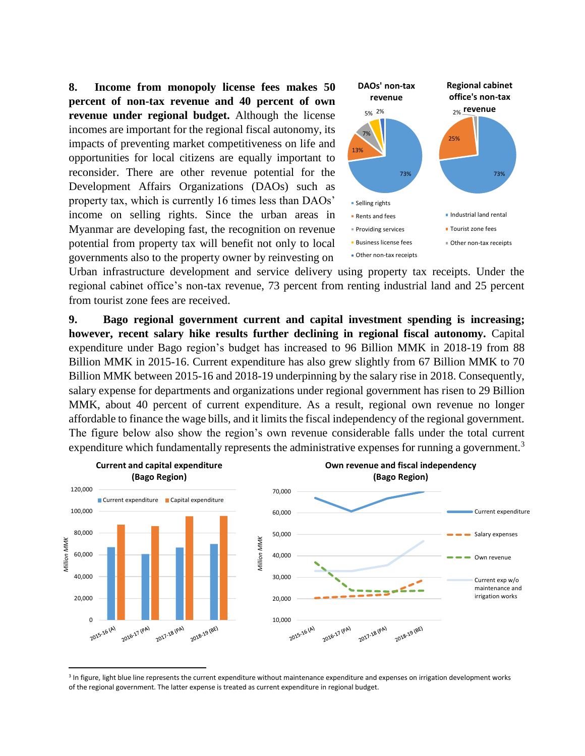**8. Income from monopoly license fees makes 50 percent of non-tax revenue and 40 percent of own revenue under regional budget.** Although the license incomes are important for the regional fiscal autonomy, its impacts of preventing market competitiveness on life and opportunities for local citizens are equally important to reconsider. There are other revenue potential for the Development Affairs Organizations (DAOs) such as property tax, which is currently 16 times less than DAOs' income on selling rights. Since the urban areas in Myanmar are developing fast, the recognition on revenue potential from property tax will benefit not only to local governments also to the property owner by reinvesting on



Urban infrastructure development and service delivery using property tax receipts. Under the regional cabinet office's non-tax revenue, 73 percent from renting industrial land and 25 percent from tourist zone fees are received.

**9. Bago regional government current and capital investment spending is increasing; however, recent salary hike results further declining in regional fiscal autonomy.** Capital expenditure under Bago region's budget has increased to 96 Billion MMK in 2018-19 from 88 Billion MMK in 2015-16. Current expenditure has also grew slightly from 67 Billion MMK to 70 Billion MMK between 2015-16 and 2018-19 underpinning by the salary rise in 2018. Consequently, salary expense for departments and organizations under regional government has risen to 29 Billion MMK, about 40 percent of current expenditure. As a result, regional own revenue no longer affordable to finance the wage bills, and it limits the fiscal independency of the regional government. The figure below also show the region's own revenue considerable falls under the total current expenditure which fundamentally represents the administrative expenses for running a government.<sup>3</sup>



<sup>&</sup>lt;sup>3</sup> In figure, light blue line represents the current expenditure without maintenance expenditure and expenses on irrigation development works of the regional government. The latter expense is treated as current expenditure in regional budget.

l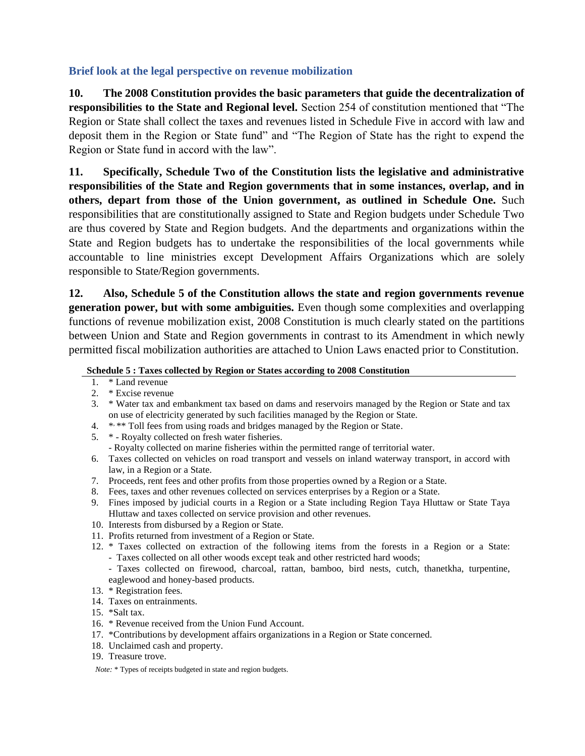## **Brief look at the legal perspective on revenue mobilization**

**10. The 2008 Constitution provides the basic parameters that guide the decentralization of responsibilities to the State and Regional level.** Section 254 of constitution mentioned that "The Region or State shall collect the taxes and revenues listed in Schedule Five in accord with law and deposit them in the Region or State fund" and "The Region of State has the right to expend the Region or State fund in accord with the law".

**11. Specifically, Schedule Two of the Constitution lists the legislative and administrative responsibilities of the State and Region governments that in some instances, overlap, and in others, depart from those of the Union government, as outlined in Schedule One.** Such responsibilities that are constitutionally assigned to State and Region budgets under Schedule Two are thus covered by State and Region budgets. And the departments and organizations within the State and Region budgets has to undertake the responsibilities of the local governments while accountable to line ministries except Development Affairs Organizations which are solely responsible to State/Region governments.

**12. Also, Schedule 5 of the Constitution allows the state and region governments revenue generation power, but with some ambiguities.** Even though some complexities and overlapping functions of revenue mobilization exist, 2008 Constitution is much clearly stated on the partitions between Union and State and Region governments in contrast to its Amendment in which newly permitted fiscal mobilization authorities are attached to Union Laws enacted prior to Constitution.

### **Schedule 5 : Taxes collected by Region or States according to 2008 Constitution**

- 1. \* Land revenue
- 2. \* Excise revenue
- 3. \* Water tax and embankment tax based on dams and reservoirs managed by the Region or State and tax on use of electricity generated by such facilities managed by the Region or State.
- 4. \*\*\* Toll fees from using roads and bridges managed by the Region or State.
- 5. \* Royalty collected on fresh water fisheries. - Royalty collected on marine fisheries within the permitted range of territorial water.
- 6. Taxes collected on vehicles on road transport and vessels on inland waterway transport, in accord with law, in a Region or a State.
- 7. Proceeds, rent fees and other profits from those properties owned by a Region or a State.
- 8. Fees, taxes and other revenues collected on services enterprises by a Region or a State.
- 9. Fines imposed by judicial courts in a Region or a State including Region Taya Hluttaw or State Taya Hluttaw and taxes collected on service provision and other revenues.
- 10. Interests from disbursed by a Region or State.
- 11. Profits returned from investment of a Region or State.
- 12. \* Taxes collected on extraction of the following items from the forests in a Region or a State: - Taxes collected on all other woods except teak and other restricted hard woods;
	- Taxes collected on firewood, charcoal, rattan, bamboo, bird nests, cutch, thanetkha, turpentine, eaglewood and honey-based products.
- 13. \* Registration fees.
- 14. Taxes on entrainments.
- 15. \*Salt tax.
- 16. \* Revenue received from the Union Fund Account.
- 17. \*Contributions by development affairs organizations in a Region or State concerned.
- 18. Unclaimed cash and property.
- 19. Treasure trove.

*Note:* \* Types of receipts budgeted in state and region budgets.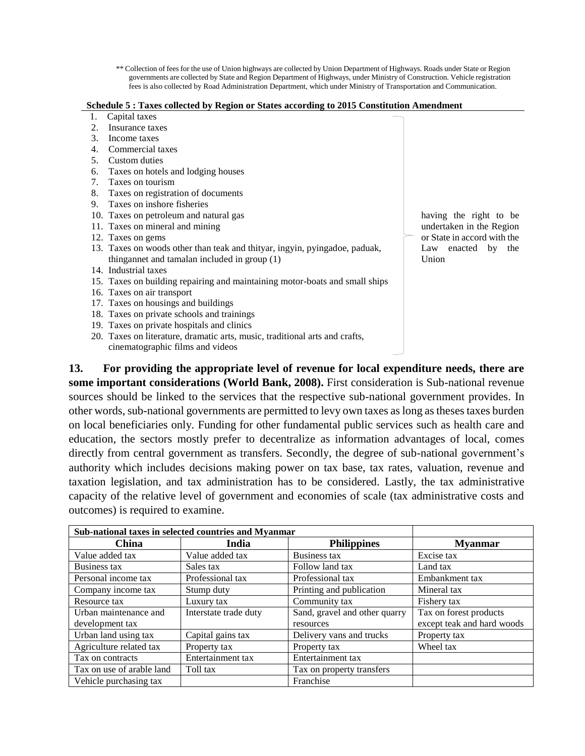\*\* Collection of fees for the use of Union highways are collected by Union Department of Highways. Roads under State or Region governments are collected by State and Region Department of Highways, under Ministry of Construction. Vehicle registration fees is also collected by Road Administration Department, which under Ministry of Transportation and Communication.

#### **Schedule 5 : Taxes collected by Region or States according to 2015 Constitution Amendment**

- 1. Capital taxes
- 2. Insurance taxes
- 3. Income taxes
- 4. Commercial taxes
- 5. Custom duties
- 6. Taxes on hotels and lodging houses
- 7. Taxes on tourism
- 8. Taxes on registration of documents
- 9. Taxes on inshore fisheries
- 10. Taxes on petroleum and natural gas
- 11. Taxes on mineral and mining
- 12. Taxes on gems
- 13. Taxes on woods other than teak and thityar, ingyin, pyingadoe, paduak, thingannet and tamalan included in group (1)
- 14. Industrial taxes
- 15. Taxes on building repairing and maintaining motor-boats and small ships
- 16. Taxes on air transport
- 17. Taxes on housings and buildings
- 18. Taxes on private schools and trainings
- 19. Taxes on private hospitals and clinics
- 20. Taxes on literature, dramatic arts, music, traditional arts and crafts, cinematographic films and videos

having the right to be undertaken in the Region or State in accord with the Law enacted by the Union

**13. For providing the appropriate level of revenue for local expenditure needs, there are some important considerations (World Bank, 2008).** First consideration is Sub-national revenue sources should be linked to the services that the respective sub-national government provides. In other words, sub-national governments are permitted to levy own taxes as long as theses taxes burden on local beneficiaries only. Funding for other fundamental public services such as health care and education, the sectors mostly prefer to decentralize as information advantages of local, comes directly from central government as transfers. Secondly, the degree of sub-national government's authority which includes decisions making power on tax base, tax rates, valuation, revenue and taxation legislation, and tax administration has to be considered. Lastly, the tax administrative capacity of the relative level of government and economies of scale (tax administrative costs and outcomes) is required to examine.

| Sub-national taxes in selected countries and Myanmar |                       |                               |                            |
|------------------------------------------------------|-----------------------|-------------------------------|----------------------------|
| China                                                | India                 | <b>Philippines</b>            | <b>Myanmar</b>             |
| Value added tax                                      | Value added tax       | Business tax                  | Excise tax                 |
| Business tax                                         | Sales tax             | Follow land tax               | Land tax                   |
| Personal income tax                                  | Professional tax      | Professional tax              | Embankment tax             |
| Company income tax                                   | Stump duty            | Printing and publication      | Mineral tax                |
| Resource tax                                         | Luxury tax            | Community tax                 | Fishery tax                |
| Urban maintenance and                                | Interstate trade duty | Sand, gravel and other quarry | Tax on forest products     |
| development tax                                      |                       | resources                     | except teak and hard woods |
| Urban land using tax                                 | Capital gains tax     | Delivery vans and trucks      | Property tax               |
| Agriculture related tax                              | Property tax          | Property tax                  | Wheel tax                  |
| Tax on contracts                                     | Entertainment tax     | Entertainment tax             |                            |
| Tax on use of arable land                            | Toll tax              | Tax on property transfers     |                            |
| Vehicle purchasing tax                               |                       | Franchise                     |                            |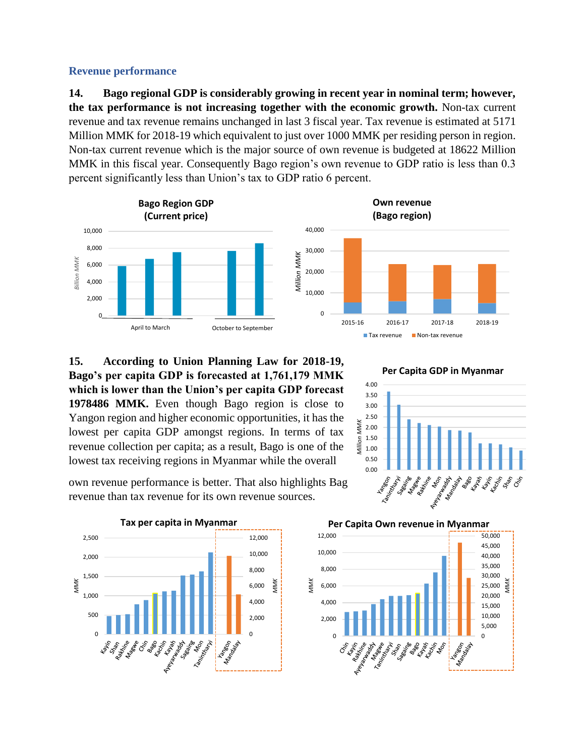### **Revenue performance**

**14. Bago regional GDP is considerably growing in recent year in nominal term; however, the tax performance is not increasing together with the economic growth.** Non-tax current revenue and tax revenue remains unchanged in last 3 fiscal year. Tax revenue is estimated at 5171 Million MMK for 2018-19 which equivalent to just over 1000 MMK per residing person in region. Non-tax current revenue which is the major source of own revenue is budgeted at 18622 Million MMK in this fiscal year. Consequently Bago region's own revenue to GDP ratio is less than 0.3 percent significantly less than Union's tax to GDP ratio 6 percent.



**15. According to Union Planning Law for 2018-19, Bago's per capita GDP is forecasted at 1,761,179 MMK which is lower than the Union's per capita GDP forecast 1978486 MMK.** Even though Bago region is close to Yangon region and higher economic opportunities, it has the lowest per capita GDP amongst regions. In terms of tax revenue collection per capita; as a result, Bago is one of the lowest tax receiving regions in Myanmar while the overall

own revenue performance is better. That also highlights Bag the state of the set of the revenue than tax revenue for its own revenue sources. revenue than tax revenue for its own revenue sources.